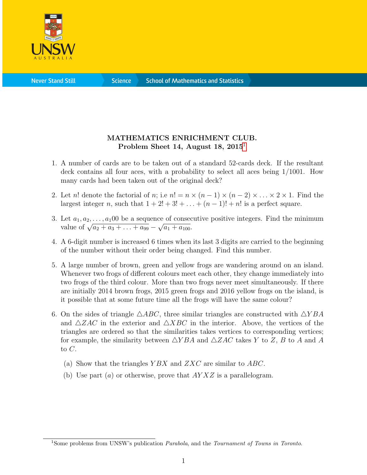

**Science** 

## MATHEMATICS ENRICHMENT CLUB. Problem Sheet [1](#page-0-0)4, August 18,  $2015<sup>1</sup>$

- 1. A number of cards are to be taken out of a standard 52-cards deck. If the resultant deck contains all four aces, with a probability to select all aces being 1/1001. How many cards had been taken out of the original deck?
- 2. Let n! denote the factorial of n; i.e  $n! = n \times (n-1) \times (n-2) \times ... \times 2 \times 1$ . Find the largest integer n, such that  $1 + 2! + 3! + \ldots + (n - 1)! + n!$  is a perfect square.
- 3. Let  $a_1, a_2, \ldots, a_1$ 00 be a sequence of consecutive positive integers. Find the minimum Let  $a_1, a_2, ..., a_1$  by be a sequen<br>value of  $\sqrt{a_2 + a_3 + ... + a_{99}}$  – √  $\overline{a_1 + a_{100}}$ .
- 4. A 6-digit number is increased 6 times when its last 3 digits are carried to the beginning of the number without their order being changed. Find this number.
- 5. A large number of brown, green and yellow frogs are wandering around on an island. Whenever two frogs of different colours meet each other, they change immediately into two frogs of the third colour. More than two frogs never meet simultaneously. If there are initially 2014 brown frogs, 2015 green frogs and 2016 yellow frogs on the island, is it possible that at some future time all the frogs will have the same colour?
- 6. On the sides of triangle  $\triangle ABC$ , three similar triangles are constructed with  $\triangle YBA$ and  $\triangle ZAC$  in the exterior and  $\triangle XBC$  in the interior. Above, the vertices of the triangles are ordered so that the similarities takes vertices to corresponding vertices; for example, the similarity between  $\triangle YBA$  and  $\triangle ZAC$  takes Y to Z, B to A and A to C.
	- (a) Show that the triangles  $YBX$  and  $ZXC$  are similar to  $ABC$ .
	- (b) Use part  $(a)$  or otherwise, prove that  $AYXZ$  is a parallelogram.

<span id="page-0-0"></span><sup>&</sup>lt;sup>1</sup>Some problems from UNSW's publication *Parabola*, and the *Tournament of Towns in Toronto*.